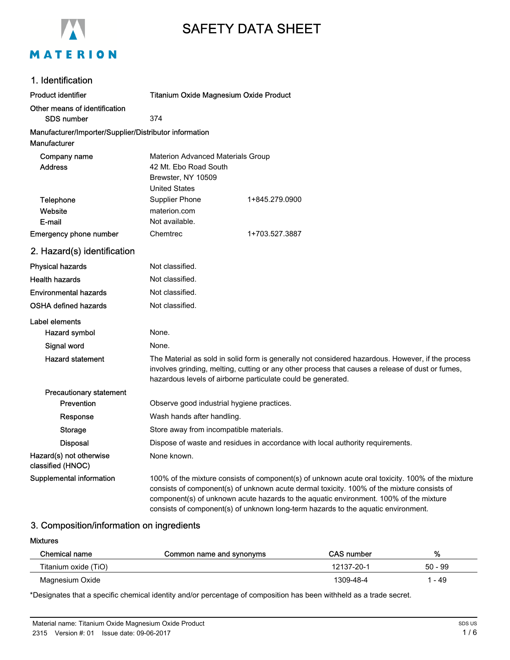

# SAFETY DATA SHEET

### 1. Identification

| <b>Product identifier</b>                              | Titanium Oxide Magnesium Oxide Product                                         |                                                                                                                                                                                                                                                                                                                                                                              |  |
|--------------------------------------------------------|--------------------------------------------------------------------------------|------------------------------------------------------------------------------------------------------------------------------------------------------------------------------------------------------------------------------------------------------------------------------------------------------------------------------------------------------------------------------|--|
| Other means of identification                          |                                                                                |                                                                                                                                                                                                                                                                                                                                                                              |  |
| <b>SDS number</b>                                      | 374                                                                            |                                                                                                                                                                                                                                                                                                                                                                              |  |
| Manufacturer/Importer/Supplier/Distributor information |                                                                                |                                                                                                                                                                                                                                                                                                                                                                              |  |
| Manufacturer                                           |                                                                                |                                                                                                                                                                                                                                                                                                                                                                              |  |
| Company name                                           | Materion Advanced Materials Group                                              |                                                                                                                                                                                                                                                                                                                                                                              |  |
| <b>Address</b>                                         | 42 Mt. Ebo Road South                                                          |                                                                                                                                                                                                                                                                                                                                                                              |  |
|                                                        | Brewster, NY 10509                                                             |                                                                                                                                                                                                                                                                                                                                                                              |  |
|                                                        | <b>United States</b>                                                           |                                                                                                                                                                                                                                                                                                                                                                              |  |
| Telephone                                              | <b>Supplier Phone</b>                                                          | 1+845.279.0900                                                                                                                                                                                                                                                                                                                                                               |  |
| Website                                                | materion.com                                                                   |                                                                                                                                                                                                                                                                                                                                                                              |  |
| E-mail                                                 | Not available.                                                                 |                                                                                                                                                                                                                                                                                                                                                                              |  |
| <b>Emergency phone number</b>                          | Chemtrec                                                                       | 1+703.527.3887                                                                                                                                                                                                                                                                                                                                                               |  |
| 2. Hazard(s) identification                            |                                                                                |                                                                                                                                                                                                                                                                                                                                                                              |  |
| <b>Physical hazards</b>                                | Not classified.                                                                |                                                                                                                                                                                                                                                                                                                                                                              |  |
| <b>Health hazards</b>                                  | Not classified.                                                                |                                                                                                                                                                                                                                                                                                                                                                              |  |
| <b>Environmental hazards</b>                           | Not classified.                                                                |                                                                                                                                                                                                                                                                                                                                                                              |  |
| <b>OSHA defined hazards</b>                            | Not classified.                                                                |                                                                                                                                                                                                                                                                                                                                                                              |  |
| Label elements                                         |                                                                                |                                                                                                                                                                                                                                                                                                                                                                              |  |
| <b>Hazard symbol</b>                                   | None.                                                                          |                                                                                                                                                                                                                                                                                                                                                                              |  |
| Signal word                                            | None.                                                                          |                                                                                                                                                                                                                                                                                                                                                                              |  |
| <b>Hazard statement</b>                                |                                                                                | The Material as sold in solid form is generally not considered hazardous. However, if the process<br>involves grinding, melting, cutting or any other process that causes a release of dust or fumes,<br>hazardous levels of airborne particulate could be generated.                                                                                                        |  |
| <b>Precautionary statement</b>                         |                                                                                |                                                                                                                                                                                                                                                                                                                                                                              |  |
| Prevention                                             |                                                                                | Observe good industrial hygiene practices.                                                                                                                                                                                                                                                                                                                                   |  |
| Response                                               |                                                                                | Wash hands after handling.                                                                                                                                                                                                                                                                                                                                                   |  |
| <b>Storage</b>                                         | Store away from incompatible materials.                                        |                                                                                                                                                                                                                                                                                                                                                                              |  |
| <b>Disposal</b>                                        | Dispose of waste and residues in accordance with local authority requirements. |                                                                                                                                                                                                                                                                                                                                                                              |  |
| Hazard(s) not otherwise<br>classified (HNOC)           | None known.                                                                    |                                                                                                                                                                                                                                                                                                                                                                              |  |
| Supplemental information                               |                                                                                | 100% of the mixture consists of component(s) of unknown acute oral toxicity. 100% of the mixture<br>consists of component(s) of unknown acute dermal toxicity. 100% of the mixture consists of<br>component(s) of unknown acute hazards to the aquatic environment. 100% of the mixture<br>consists of component(s) of unknown long-term hazards to the aquatic environment. |  |

### 3. Composition/information on ingredients

### Mixtures

| Chemical name        | Common name and synonyms | CAS number | %         |
|----------------------|--------------------------|------------|-----------|
| Titanium oxide (TiO) |                          | 12137-20-1 | $50 - 99$ |
| Magnesium Oxide      |                          | 1309-48-4  | 1 - 49    |

\*Designates that a specific chemical identity and/or percentage of composition has been withheld as a trade secret.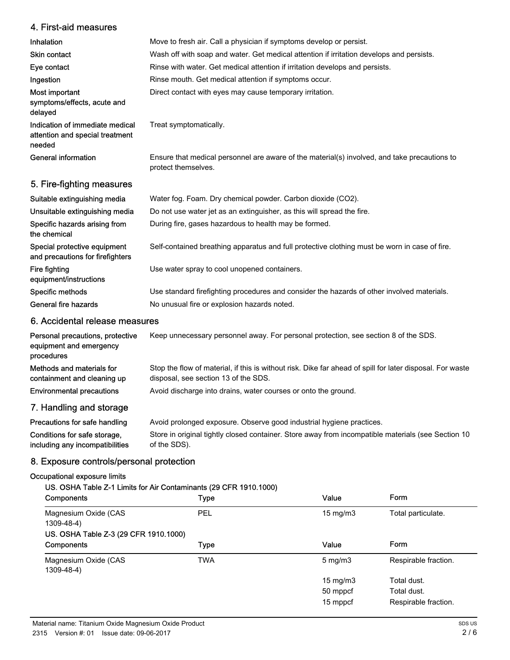### 4. First-aid measures

| Inhalation                                                                   | Move to fresh air. Call a physician if symptoms develop or persist.                                                 |
|------------------------------------------------------------------------------|---------------------------------------------------------------------------------------------------------------------|
| <b>Skin contact</b>                                                          | Wash off with soap and water. Get medical attention if irritation develops and persists.                            |
| Eye contact                                                                  | Rinse with water. Get medical attention if irritation develops and persists.                                        |
| Ingestion                                                                    | Rinse mouth. Get medical attention if symptoms occur.                                                               |
| Most important<br>symptoms/effects, acute and<br>delayed                     | Direct contact with eyes may cause temporary irritation.                                                            |
| Indication of immediate medical<br>attention and special treatment<br>needed | Treat symptomatically.                                                                                              |
| General information                                                          | Ensure that medical personnel are aware of the material(s) involved, and take precautions to<br>protect themselves. |
| 5. Fire-fighting measures                                                    |                                                                                                                     |
| Suitable extinguishing media                                                 | Water fog. Foam. Dry chemical powder. Carbon dioxide (CO2).                                                         |
| Unsuitable extinguishing media                                               | Do not use water jet as an extinguisher, as this will spread the fire.                                              |
| Specific hazards arising from<br>the chemical                                | During fire, gases hazardous to health may be formed.                                                               |

Special protective equipment Self-contained breathing apparatus and full protective clothing must be worn in case of fire. and precautions for firefighters

Fire fighting **Example 20** Use water spray to cool unopened containers.

Specific methods **Specific methods** Use standard firefighting procedures and consider the hazards of other involved materials. General fire hazards No unusual fire or explosion hazards noted.

### 6. Accidental release measures

equipment/instructions

| Personal precautions, protective<br>equipment and emergency<br>procedures | Keep unnecessary personnel away. For personal protection, see section 8 of the SDS.                                                               |
|---------------------------------------------------------------------------|---------------------------------------------------------------------------------------------------------------------------------------------------|
| Methods and materials for<br>containment and cleaning up                  | Stop the flow of material, if this is without risk. Dike far ahead of spill for later disposal. For waste<br>disposal, see section 13 of the SDS. |
| <b>Environmental precautions</b>                                          | Avoid discharge into drains, water courses or onto the ground.                                                                                    |
| 7. Handling and storage                                                   |                                                                                                                                                   |

| Precautions for safe handling   | Avoid prolonged exposure. Observe good industrial hygiene practices.                               |
|---------------------------------|----------------------------------------------------------------------------------------------------|
| Conditions for safe storage,    | Store in original tightly closed container. Store away from incompatible materials (see Section 10 |
| including any incompatibilities | of the SDS).                                                                                       |

### 8. Exposure controls/personal protection

### Occupational exposure limits

### US. OSHA Table Z-1 Limits for Air Contaminants (29 CFR 1910.1000)

| <b>Components</b>                     | <b>Type</b> | Value             | Form                 |
|---------------------------------------|-------------|-------------------|----------------------|
| Magnesium Oxide (CAS<br>1309-48-4)    | <b>PEL</b>  | $15 \text{ mg/m}$ | Total particulate.   |
| US. OSHA Table Z-3 (29 CFR 1910.1000) |             |                   |                      |
| <b>Components</b>                     | <b>Type</b> | Value             | Form                 |
| Magnesium Oxide (CAS<br>1309-48-4)    | <b>TWA</b>  | $5 \text{ mg/m}$  | Respirable fraction. |
|                                       |             | $15 \text{ mg/m}$ | Total dust.          |
|                                       |             | 50 mppcf          | Total dust.          |
|                                       |             | 15 mppcf          | Respirable fraction. |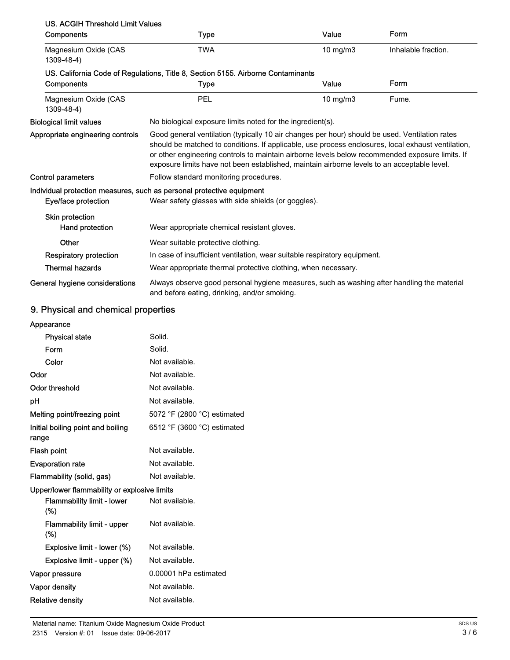| <b>US. ACGIH Threshold Limit Values</b> |                                                                                                                                                                                                                                                                                                                                                                                                        |               |                     |
|-----------------------------------------|--------------------------------------------------------------------------------------------------------------------------------------------------------------------------------------------------------------------------------------------------------------------------------------------------------------------------------------------------------------------------------------------------------|---------------|---------------------|
| Components                              | Type                                                                                                                                                                                                                                                                                                                                                                                                   | Value         | Form                |
| Magnesium Oxide (CAS<br>1309-48-4)      | <b>TWA</b>                                                                                                                                                                                                                                                                                                                                                                                             | 10 mg/m3      | Inhalable fraction. |
|                                         | US. California Code of Regulations, Title 8, Section 5155. Airborne Contaminants                                                                                                                                                                                                                                                                                                                       |               |                     |
| Components                              | Type                                                                                                                                                                                                                                                                                                                                                                                                   | Value         | Form                |
| Magnesium Oxide (CAS<br>1309-48-4)      | PEL                                                                                                                                                                                                                                                                                                                                                                                                    | $10$ mg/m $3$ | Fume.               |
| <b>Biological limit values</b>          | No biological exposure limits noted for the ingredient(s).                                                                                                                                                                                                                                                                                                                                             |               |                     |
| Appropriate engineering controls        | Good general ventilation (typically 10 air changes per hour) should be used. Ventilation rates<br>should be matched to conditions. If applicable, use process enclosures, local exhaust ventilation,<br>or other engineering controls to maintain airborne levels below recommended exposure limits. If<br>exposure limits have not been established, maintain airborne levels to an acceptable level. |               |                     |
| <b>Control parameters</b>               | Follow standard monitoring procedures.                                                                                                                                                                                                                                                                                                                                                                 |               |                     |
| Eye/face protection                     | Individual protection measures, such as personal protective equipment<br>Wear safety glasses with side shields (or goggles).                                                                                                                                                                                                                                                                           |               |                     |
| Skin protection<br>Hand protection      | Wear appropriate chemical resistant gloves.                                                                                                                                                                                                                                                                                                                                                            |               |                     |
| Other                                   | Wear suitable protective clothing.                                                                                                                                                                                                                                                                                                                                                                     |               |                     |
| <b>Respiratory protection</b>           | In case of insufficient ventilation, wear suitable respiratory equipment.                                                                                                                                                                                                                                                                                                                              |               |                     |
| <b>Thermal hazards</b>                  | Wear appropriate thermal protective clothing, when necessary.                                                                                                                                                                                                                                                                                                                                          |               |                     |
| General hygiene considerations          | Always observe good personal hygiene measures, such as washing after handling the material<br>and before eating, drinking, and/or smoking.                                                                                                                                                                                                                                                             |               |                     |

# 9. Physical and chemical properties

| Appearance |  |  |
|------------|--|--|
|            |  |  |

| <b>Physical state</b>                        | Solid.                      |
|----------------------------------------------|-----------------------------|
| Form                                         | Solid.                      |
| Color                                        | Not available.              |
| Odor                                         | Not available.              |
| Odor threshold                               | Not available.              |
| рH                                           | Not available.              |
| Melting point/freezing point                 | 5072 °F (2800 °C) estimated |
| Initial boiling point and boiling<br>range   | 6512 °F (3600 °C) estimated |
| Flash point                                  | Not available.              |
| <b>Evaporation rate</b>                      | Not available.              |
| Flammability (solid, gas)                    | Not available.              |
| Upper/lower flammability or explosive limits |                             |
| <b>Flammability limit - lower</b><br>$(\%)$  | Not available.              |
| Flammability limit - upper<br>$(\%)$         | Not available.              |
| Explosive limit - lower (%)                  | Not available.              |
| Explosive limit - upper (%)                  | Not available.              |
| Vapor pressure                               | 0.00001 hPa estimated       |
| <b>Vapor density</b>                         | Not available.              |
| <b>Relative density</b>                      | Not available.              |
|                                              |                             |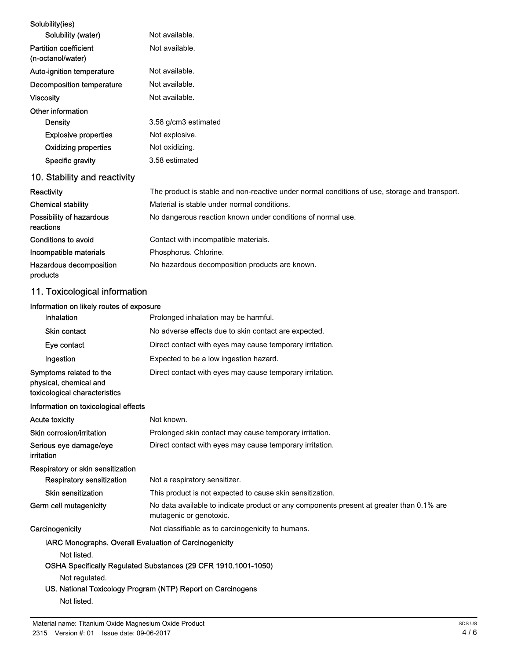| Solubility(ies)                                   |                                                                                               |
|---------------------------------------------------|-----------------------------------------------------------------------------------------------|
| Solubility (water)                                | Not available.                                                                                |
| <b>Partition coefficient</b><br>(n-octanol/water) | Not available.                                                                                |
| Auto-ignition temperature                         | Not available.                                                                                |
| Decomposition temperature                         | Not available.                                                                                |
| <b>Viscosity</b>                                  | Not available.                                                                                |
| Other information                                 |                                                                                               |
| Density                                           | 3.58 g/cm3 estimated                                                                          |
| <b>Explosive properties</b>                       | Not explosive.                                                                                |
| <b>Oxidizing properties</b>                       | Not oxidizing.                                                                                |
| Specific gravity                                  | 3.58 estimated                                                                                |
| 10. Stability and reactivity                      |                                                                                               |
| <b>Reactivity</b>                                 | The product is stable and non-reactive under normal conditions of use, storage and transport. |
| <b>Chemical stability</b>                         | Material is stable under normal conditions.                                                   |
| Possibility of hazardous<br>reactions             | No dangerous reaction known under conditions of normal use.                                   |
| <b>Conditions to avoid</b>                        | Contact with incompatible materials.                                                          |
| Incompatible materials                            | Phosphorus. Chlorine.                                                                         |
| Hazardous decomposition<br>products               | No hazardous decomposition products are known.                                                |
| 11. Toxicological information                     |                                                                                               |
| Information on likely routes of exposure          |                                                                                               |
| Inhalation                                        | Prolonged inhalation may be harmful.                                                          |
| <b>Skin contact</b>                               | No adverse effects due to skin contact are expected.                                          |
| Eye contact                                       | Direct contact with eyes may cause temporary irritation.                                      |
| Ingestion                                         | Expected to be a low ingestion hazard.                                                        |
| Symptoms related to the<br>physical, chemical and | Direct contact with eyes may cause temporary irritation.                                      |

### Information on toxicological effects

toxicological characteristics

| <b>Acute toxicity</b>                                         | Not known.                                                                                                          |
|---------------------------------------------------------------|---------------------------------------------------------------------------------------------------------------------|
| Skin corrosion/irritation                                     | Prolonged skin contact may cause temporary irritation.                                                              |
| Serious eye damage/eye<br>irritation                          | Direct contact with eyes may cause temporary irritation.                                                            |
| Respiratory or skin sensitization                             |                                                                                                                     |
| <b>Respiratory sensitization</b>                              | Not a respiratory sensitizer.                                                                                       |
| <b>Skin sensitization</b>                                     | This product is not expected to cause skin sensitization.                                                           |
| Germ cell mutagenicity                                        | No data available to indicate product or any components present at greater than 0.1% are<br>mutagenic or genotoxic. |
| Carcinogenicity                                               | Not classifiable as to carcinogenicity to humans.                                                                   |
| <b>IARC Monographs. Overall Evaluation of Carcinogenicity</b> |                                                                                                                     |
| Not listed.                                                   |                                                                                                                     |
|                                                               | OSHA Specifically Regulated Substances (29 CFR 1910.1001-1050)                                                      |

### Not regulated.

## US. National Toxicology Program (NTP) Report on Carcinogens

Not listed.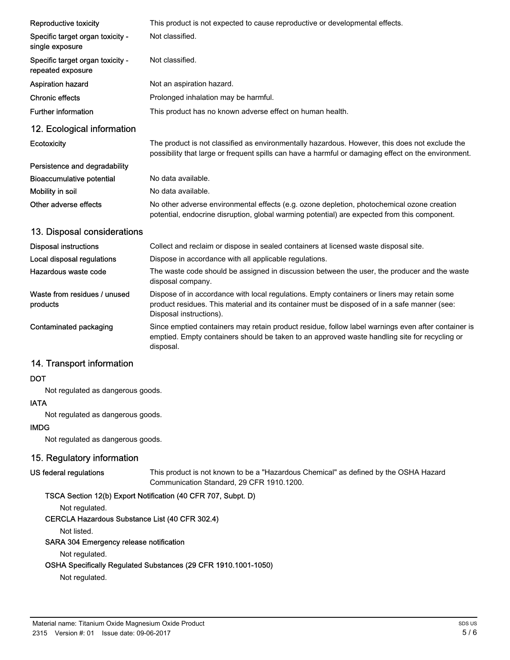| Reproductive toxicity                                 | This product is not expected to cause reproductive or developmental effects.                                                                                                                                           |
|-------------------------------------------------------|------------------------------------------------------------------------------------------------------------------------------------------------------------------------------------------------------------------------|
| Specific target organ toxicity -<br>single exposure   | Not classified.                                                                                                                                                                                                        |
| Specific target organ toxicity -<br>repeated exposure | Not classified.                                                                                                                                                                                                        |
| <b>Aspiration hazard</b>                              | Not an aspiration hazard.                                                                                                                                                                                              |
| <b>Chronic effects</b>                                | Prolonged inhalation may be harmful.                                                                                                                                                                                   |
| <b>Further information</b>                            | This product has no known adverse effect on human health.                                                                                                                                                              |
| 12. Ecological information                            |                                                                                                                                                                                                                        |
| Ecotoxicity                                           | The product is not classified as environmentally hazardous. However, this does not exclude the<br>possibility that large or frequent spills can have a harmful or damaging effect on the environment.                  |
| Persistence and degradability                         |                                                                                                                                                                                                                        |
| <b>Bioaccumulative potential</b>                      | No data available.                                                                                                                                                                                                     |
| Mobility in soil                                      | No data available.                                                                                                                                                                                                     |
| Other adverse effects                                 | No other adverse environmental effects (e.g. ozone depletion, photochemical ozone creation<br>potential, endocrine disruption, global warming potential) are expected from this component.                             |
| 13. Disposal considerations                           |                                                                                                                                                                                                                        |
| <b>Disposal instructions</b>                          | Collect and reclaim or dispose in sealed containers at licensed waste disposal site.                                                                                                                                   |
| Local disposal regulations                            | Dispose in accordance with all applicable regulations.                                                                                                                                                                 |
| Hazardous waste code                                  | The waste code should be assigned in discussion between the user, the producer and the waste<br>disposal company.                                                                                                      |
| Waste from residues / unused<br>products              | Dispose of in accordance with local regulations. Empty containers or liners may retain some<br>product residues. This material and its container must be disposed of in a safe manner (see:<br>Disposal instructions). |
| Contaminated packaging                                | Since emptied containers may retain product residue, follow label warnings even after container is<br>emptied. Empty containers should be taken to an approved waste handling site for recycling or<br>disposal.       |
| 14. Transport information                             |                                                                                                                                                                                                                        |

### **DOT**

Not regulated as dangerous goods.

### IATA

Not regulated as dangerous goods.

### IMDG

Not regulated as dangerous goods.

### 15. Regulatory information

### US federal regulations

This product is not known to be a "Hazardous Chemical" as defined by the OSHA Hazard Communication Standard, 29 CFR 1910.1200.

### TSCA Section 12(b) Export Notification (40 CFR 707, Subpt. D)

Not regulated.

CERCLA Hazardous Substance List (40 CFR 302.4)

Not listed.

### SARA 304 Emergency release notification

Not regulated.

### OSHA Specifically Regulated Substances (29 CFR 1910.1001-1050)

Not regulated.